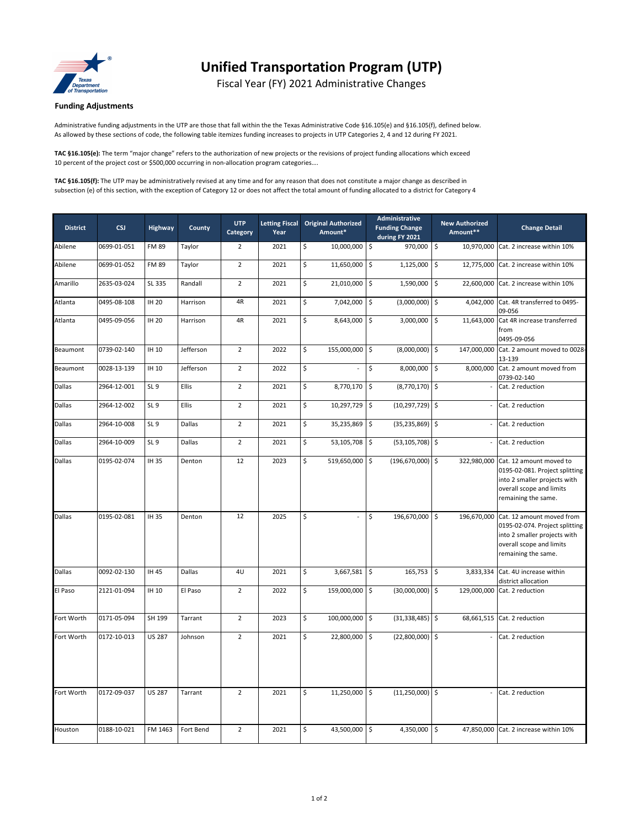

## **Unified Transportation Program (UTP)**

Fiscal Year (FY) 2021 Administrative Changes

## **Funding Adjustments**

Administrative funding adjustments in the UTP are those that fall within the the Texas Administrative Code §16.105(e) and §16.105(f), defined below. As allowed by these sections of code, the following table itemizes funding increases to projects in UTP Categories 2, 4 and 12 during FY 2021.

**TAC §16.105(e):** The term "major change" refers to the authorization of new projects or the revisions of project funding allocations which exceed 10 percent of the project cost or \$500,000 occurring in non-allocation program categories….

**TAC §16.105(f):** The UTP may be administratively revised at any time and for any reason that does not constitute a major change as described in subsection (e) of this section, with the exception of Category 12 or does not affect the total amount of funding allocated to a district for Category 4

| <b>District</b> | <b>CSJ</b>  | Highway         | County    | <b>UTP</b><br>Category | <b>Letting Fiscal</b><br>Year |    | <b>Original Authorized</b><br>Amount* |                    | Administrative<br><b>Funding Change</b><br>during FY 2021 |         | <b>New Authorized</b><br>Amount** | <b>Change Detail</b>                                                                                                                                       |  |
|-----------------|-------------|-----------------|-----------|------------------------|-------------------------------|----|---------------------------------------|--------------------|-----------------------------------------------------------|---------|-----------------------------------|------------------------------------------------------------------------------------------------------------------------------------------------------------|--|
| Abilene         | 0699-01-051 | <b>FM 89</b>    | Taylor    | $\overline{2}$         | 2021                          | \$ | 10,000,000 \$                         |                    | 970,000                                                   | \$      | 10,970,000                        | Cat. 2 increase within 10%                                                                                                                                 |  |
| Abilene         | 0699-01-052 | <b>FM 89</b>    | Taylor    | $\overline{2}$         | 2021                          | \$ | 11,650,000 \$                         |                    | 1,125,000                                                 | \$      | 12,775,000                        | Cat. 2 increase within 10%                                                                                                                                 |  |
| Amarillo        | 2635-03-024 | SL 335          | Randall   | $\overline{2}$         | 2021                          | \$ | 21,010,000 \$                         |                    | 1,590,000                                                 | \$      |                                   | 22,600,000 Cat. 2 increase within 10%                                                                                                                      |  |
| Atlanta         | 0495-08-108 | <b>IH 20</b>    | Harrison  | 4R                     | 2021                          | Ś. | 7,042,000 \$                          |                    | (3,000,000)                                               | \$      | 4,042,000                         | Cat. 4R transferred to 0495-<br>09-056                                                                                                                     |  |
| Atlanta         | 0495-09-056 | <b>IH 20</b>    | Harrison  | 4R                     | 2021                          | Ś. | 8,643,000 \$                          |                    | 3,000,000                                                 | \$      | 11,643,000                        | Cat 4R increase transferred<br>from<br>0495-09-056                                                                                                         |  |
| Beaumont        | 0739-02-140 | IH 10           | Jefferson | $\overline{2}$         | 2022                          | \$ | 155,000,000 \$                        |                    | (8,000,000)                                               | \$      | 147,000,000                       | Cat. 2 amount moved to 0028-<br>13-139                                                                                                                     |  |
| Beaumont        | 0028-13-139 | IH 10           | Jefferson | $\overline{2}$         | 2022                          | \$ |                                       | \$                 | 8,000,000                                                 | \$      |                                   | 8,000,000 Cat. 2 amount moved from<br>0739-02-140                                                                                                          |  |
| Dallas          | 2964-12-001 | SL <sub>9</sub> | Ellis     | $\overline{2}$         | 2021                          | \$ | 8,770,170 \$                          |                    | $(8,770,170)$ \$                                          |         |                                   | Cat. 2 reduction                                                                                                                                           |  |
| Dallas          | 2964-12-002 | SL <sub>9</sub> | Ellis     | $\overline{2}$         | 2021                          | \$ | 10,297,729 \$                         |                    | (10,297,729) \$                                           |         | $\overline{\phantom{a}}$          | Cat. 2 reduction                                                                                                                                           |  |
| Dallas          | 2964-10-008 | SL <sub>9</sub> | Dallas    | $\overline{2}$         | 2021                          | \$ | 35,235,869                            | $\frac{1}{2}$      | (35, 235, 869)                                            | $\zeta$ | $\overline{\phantom{a}}$          | Cat. 2 reduction                                                                                                                                           |  |
| Dallas          | 2964-10-009 | SL <sub>9</sub> | Dallas    | $\overline{2}$         | 2021                          | \$ | 53,105,708 \$                         |                    | (53, 105, 708)                                            | l\$     | $\overline{\phantom{a}}$          | Cat. 2 reduction                                                                                                                                           |  |
| Dallas          | 0195-02-074 | IH 35           | Denton    | 12                     | 2023                          | \$ | 519,650,000 \$                        |                    | (196, 670, 000)                                           | l\$     |                                   | 322,980,000 Cat. 12 amount moved to<br>0195-02-081. Project splitting<br>into 2 smaller projects with<br>overall scope and limits<br>remaining the same.   |  |
| Dallas          | 0195-02-081 | IH 35           | Denton    | 12                     | 2025                          | \$ |                                       | \$                 | 196,670,000                                               | \$      |                                   | 196,670,000 Cat. 12 amount moved from<br>0195-02-074. Project splitting<br>into 2 smaller projects with<br>overall scope and limits<br>remaining the same. |  |
| Dallas          | 0092-02-130 | IH 45           | Dallas    | 4U                     | 2021                          | Ś  | 3,667,581                             | $\mathsf{\hat{S}}$ | 165,753                                                   | \$      | 3,833,334                         | Cat. 4U increase within<br>district allocation                                                                                                             |  |
| El Paso         | 2121-01-094 | <b>IH 10</b>    | El Paso   | $\overline{2}$         | 2022                          | \$ | 159,000,000 \$                        |                    | $(30,000,000)$ \$                                         |         | 129,000,000                       | Cat. 2 reduction                                                                                                                                           |  |
| Fort Worth      | 0171-05-094 | SH 199          | Tarrant   | $\overline{2}$         | 2023                          | \$ | 100,000,000 \$                        |                    | (31, 338, 485)                                            | \$      | 68,661,515                        | Cat. 2 reduction                                                                                                                                           |  |
| Fort Worth      | 0172-10-013 | <b>US 287</b>   | Johnson   | $\overline{2}$         | 2021                          | \$ | 22,800,000 \$                         |                    | (22,800,000)                                              | l\$     |                                   | Cat. 2 reduction                                                                                                                                           |  |
| Fort Worth      | 0172-09-037 | <b>US 287</b>   | Tarrant   | $\overline{2}$         | 2021                          | \$ | 11,250,000 \$                         |                    | (11, 250, 000)                                            | \$      |                                   | Cat. 2 reduction                                                                                                                                           |  |
| Houston         | 0188-10-021 | FM 1463         | Fort Bend | $\overline{2}$         | 2021                          | \$ | 43,500,000                            | S.                 | 4,350,000                                                 | \$      |                                   | 47,850,000 Cat. 2 increase within 10%                                                                                                                      |  |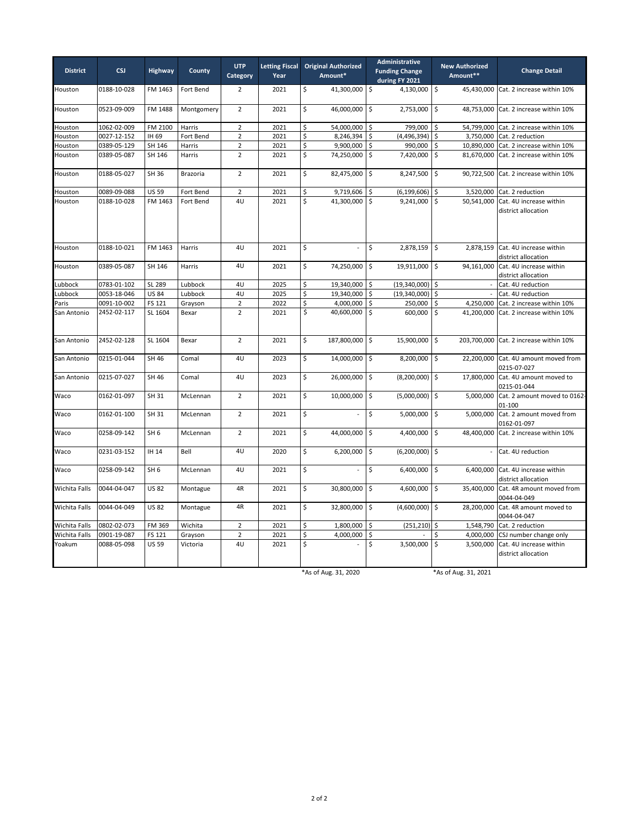| <b>District</b> | <b>CSJ</b>  | <b>Highway</b>  | County     | <b>UTP</b><br>Category | <b>Letting Fiscal</b><br>Year |                         | <b>Original Authorized</b><br>Amount* |                    | Administrative<br><b>Funding Change</b><br>during FY 2021 |                      | <b>New Authorized</b><br>Amount** | <b>Change Detail</b>                                      |  |  |
|-----------------|-------------|-----------------|------------|------------------------|-------------------------------|-------------------------|---------------------------------------|--------------------|-----------------------------------------------------------|----------------------|-----------------------------------|-----------------------------------------------------------|--|--|
| Houston         | 0188-10-028 | FM 1463         | Fort Bend  | $\overline{2}$         | 2021                          | \$                      | 41,300,000 \$                         |                    | 4,130,000                                                 | $\zeta$              | 45,430,000                        | Cat. 2 increase within 10%                                |  |  |
| Houston         | 0523-09-009 | FM 1488         | Montgomery | $\overline{2}$         | 2021                          | \$                      | 46,000,000 \$                         |                    | 2,753,000                                                 | \$                   | 48,753,000                        | Cat. 2 increase within 10%                                |  |  |
| Houston         | 1062-02-009 | FM 2100         | Harris     | $\overline{2}$         | 2021                          | \$                      | 54,000,000 \$                         |                    | 799,000                                                   | Ś                    |                                   | 54,799,000 Cat. 2 increase within 10%                     |  |  |
| Houston         | 0027-12-152 | IH 69           | Fort Bend  | $\overline{2}$         | 2021                          | \$                      | 8,246,394                             | \$                 | (4,496,394)                                               | \$                   |                                   | 3,750,000 Cat. 2 reduction                                |  |  |
| Houston         | 0389-05-129 | SH 146          | Harris     | $\overline{2}$         | 2021                          | \$                      | 9,900,000                             | \$                 | 990,000                                                   | \$                   | 10,890,000                        | Cat. 2 increase within 10%                                |  |  |
| Houston         | 0389-05-087 | SH 146          | Harris     | $\overline{2}$         | 2021                          | $\overline{\mathsf{S}}$ | 74,250,000                            | $\mathsf{S}$       | 7,420,000                                                 | $\mathsf S$          | 81,670,000                        | Cat. 2 increase within 10%                                |  |  |
| Houston         | 0188-05-027 | SH 36           | Brazoria   | $\overline{2}$         | 2021                          | \$                      | 82,475,000                            | \$                 | 8,247,500                                                 | \$                   | 90,722,500                        | Cat. 2 increase within 10%                                |  |  |
| Houston         | 0089-09-088 | <b>US 59</b>    | Fort Bend  | $\overline{2}$         | 2021                          | \$                      | 9,719,606                             | \$                 | (6, 199, 606)                                             | \$                   | 3,520,000                         | Cat. 2 reduction                                          |  |  |
| Houston         | 0188-10-028 | FM 1463         | Fort Bend  | 4U                     | 2021                          | Ś                       | 41,300,000                            | $\mathsf{\hat{S}}$ | 9,241,000                                                 | \$                   | 50,541,000                        | Cat. 4U increase within<br>district allocation            |  |  |
| Houston         | 0188-10-021 | FM 1463         | Harris     | 4U                     | 2021                          | \$                      | $\mathcal{L}$                         | \$                 | 2,878,159                                                 | l\$                  | 2,878,159                         | Cat. 4U increase within<br>district allocation            |  |  |
| Houston         | 0389-05-087 | SH 146          | Harris     | 4U                     | 2021                          | Ś                       | 74,250,000 \$                         |                    | 19,911,000                                                | l\$                  |                                   | 94,161,000 Cat. 4U increase within<br>district allocation |  |  |
| ubbock.         | 0783-01-102 | SL 289          | Lubbock    | 4U                     | 2025                          | \$                      | 19,340,000 \$                         |                    | (19,340,000)                                              | \$                   |                                   | Cat. 4U reduction                                         |  |  |
| ubbock          | 0053-18-046 | <b>US 84</b>    | Lubbock    | 4U                     | 2025                          | \$                      | 19,340,000 \$                         |                    | (19,340,000)                                              | \$                   |                                   | Cat. 4U reduction                                         |  |  |
| Paris           | 0091-10-002 | FS 121          | Grayson    | $\overline{2}$         | 2022                          | \$                      | 4,000,000 \$                          |                    | 250,000                                                   | \$                   | 4,250,000                         | Cat. 2 increase within 10%                                |  |  |
| San Antonio     | 2452-02-117 | SL 1604         | Bexar      | $\overline{2}$         | 2021                          | \$                      | 40,600,000                            | $\mathsf{\hat{S}}$ | 600,000                                                   | \$                   | 41,200,000                        | Cat. 2 increase within 10%                                |  |  |
| San Antonio     | 2452-02-128 | SL 1604         | Bexar      | $\overline{2}$         | 2021                          | \$                      | 187,800,000 \$                        |                    | 15,900,000                                                | $\mathsf S$          |                                   | 203,700,000 Cat. 2 increase within 10%                    |  |  |
| San Antonio     | 0215-01-044 | SH 46           | Comal      | 4U                     | 2023                          | \$                      | 14,000,000 \$                         |                    | 8,200,000                                                 | \$                   |                                   | 22,200,000 Cat. 4U amount moved from<br>0215-07-027       |  |  |
| San Antonio     | 0215-07-027 | SH 46           | Comal      | 4U                     | 2023                          | \$                      | 26,000,000 \$                         |                    | (8, 200, 000)                                             | l\$                  |                                   | 17,800,000 Cat. 4U amount moved to<br>0215-01-044         |  |  |
| Waco            | 0162-01-097 | SH 31           | McLennan   | $\overline{2}$         | 2021                          | \$                      | 10,000,000                            | $\mathsf{\hat{S}}$ | (5,000,000)                                               | \$                   | 5,000,000                         | Cat. 2 amount moved to 0162-<br>01-100                    |  |  |
| Waco            | 0162-01-100 | SH 31           | McLennan   | $\overline{2}$         | 2021                          | \$                      | $\mathbb{Z}^2$                        | \$                 | 5,000,000                                                 | \$                   | 5,000,000                         | Cat. 2 amount moved from<br>0162-01-097                   |  |  |
| Waco            | 0258-09-142 | SH <sub>6</sub> | McLennan   | $\overline{2}$         | 2021                          | \$                      | 44,000,000 \$                         |                    | 4,400,000                                                 | $\frac{1}{2}$        | 48,400,000                        | Cat. 2 increase within 10%                                |  |  |
| Waco            | 0231-03-152 | IH 14           | Bell       | 4U                     | 2020                          | \$                      | 6,200,000                             | $\sqrt{5}$         | (6, 200, 000)                                             | \$                   |                                   | Cat. 4U reduction                                         |  |  |
| Waco            | 0258-09-142 | SH <sub>6</sub> | McLennan   | 4U                     | 2021                          | \$                      | $\Box$                                | \$                 | 6,400,000                                                 | \$                   | 6,400,000                         | Cat. 4U increase within<br>district allocation            |  |  |
| Wichita Falls   | 0044-04-047 | <b>US 82</b>    | Montague   | 4R                     | 2021                          | \$                      | 30,800,000 \$                         |                    | 4,600,000                                                 | $\zeta$              |                                   | 35,400,000 Cat. 4R amount moved from<br>0044-04-049       |  |  |
| Wichita Falls   | 0044-04-049 | <b>US 82</b>    | Montague   | 4R                     | 2021                          | \$                      | 32,800,000                            | l \$               | (4,600,000)                                               | \$                   | 28,200,000                        | Cat. 4R amount moved to<br>0044-04-047                    |  |  |
| Wichita Falls   | 0802-02-073 | FM 369          | Wichita    | $\overline{2}$         | 2021                          | \$                      | 1,800,000                             | \$                 | (251, 210)                                                | \$                   | 1,548,790                         | Cat. 2 reduction                                          |  |  |
| Wichita Falls   | 0901-19-087 | FS 121          | Grayson    | $\mathbf 2$            | 2021                          | \$                      | 4,000,000                             | \$                 |                                                           |                      | 4,000,000                         | CSJ number change only                                    |  |  |
| Yoakum          | 0088-05-098 | <b>US 59</b>    | Victoria   | 4U                     | 2021                          | \$                      |                                       | \$                 | 3,500,000                                                 | $\zeta$              | 3,500,000                         | Cat. 4U increase within<br>district allocation            |  |  |
|                 |             |                 |            |                        |                               |                         | *As of Aug. 31, 2020                  |                    |                                                           | *As of Aug. 31, 2021 |                                   |                                                           |  |  |